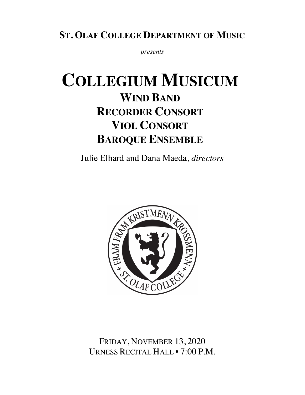## **ST. OLAF COLLEGE DEPARTMENT OF MUSIC**

*presents* 

# **COLLEGIUM MUSICUM WIND BAND RECORDER CONSORT VIOL CONSORT BAROQUE ENSEMBLE**

Julie Elhard and Dana Maeda, *directors*



FRIDAY, NOVEMBER 13, 2020 URNESS RECITAL HALL • 7:00 P.M.